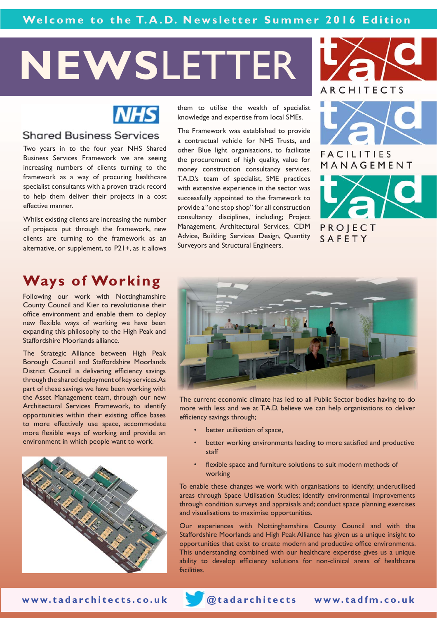# **NEWS**LETTER



### **Shared Business Services**

Two years in to the four year NHS Shared Business Services Framework we are seeing increasing numbers of clients turning to the framework as a way of procuring healthcare specialist consultants with a proven track record to help them deliver their projects in a cost effective manner.

Whilst existing clients are increasing the number of projects put through the framework, new clients are turning to the framework as an alternative, or supplement, to P21+, as it allows

them to utilise the wealth of specialist knowledge and expertise from local SMEs.

The Framework was established to provide a contractual vehicle for NHS Trusts, and other Blue light organisations, to facilitate the procurement of high quality, value for money construction consultancy services. T.A.D.'s team of specialist, SME practices with extensive experience in the sector was successfully appointed to the framework to provide a "one stop shop" for all construction consultancy disciplines, including; Project Management, Architectural Services, CDM Advice, Building Services Design, Quantity Surveyors and Structural Engineers.





**FACILITIES** MANAGEMENT

PROJECT SAFETY

# **Ways of Working**

Following our work with Nottinghamshire County Council and Kier to revolutionise their office environment and enable them to deploy new flexible ways of working we have been expanding this philosophy to the High Peak and Staffordshire Moorlands alliance.

The Strategic Alliance between High Peak Borough Council and Staffordshire Moorlands District Council is delivering efficiency savings through the shared deployment of key services. As part of these savings we have been working with the Asset Management team, through our new Architectural Services Framework, to identify opportunities within their existing office bases to more effectively use space, accommodate more flexible ways of working and provide an environment in which people want to work.





The current economic climate has led to all Public Sector bodies having to do more with less and we at T.A.D. believe we can help organisations to deliver efficiency savings through;

- better utilisation of space,
- better working environments leading to more satisfied and productive staff
- flexible space and furniture solutions to suit modern methods of working

To enable these changes we work with organisations to identify; underutilised areas through Space Utilisation Studies; identify environmental improvements through condition surveys and appraisals and; conduct space planning exercises and visualisations to maximise opportunities.

Our experiences with Nottinghamshire County Council and with the Staffordshire Moorlands and High Peak Alliance has given us a unique insight to opportunities that exist to create modern and productive office environments. This understanding combined with our healthcare expertise gives us a unique ability to develop efficiency solutions for non-clinical areas of healthcare facilities.